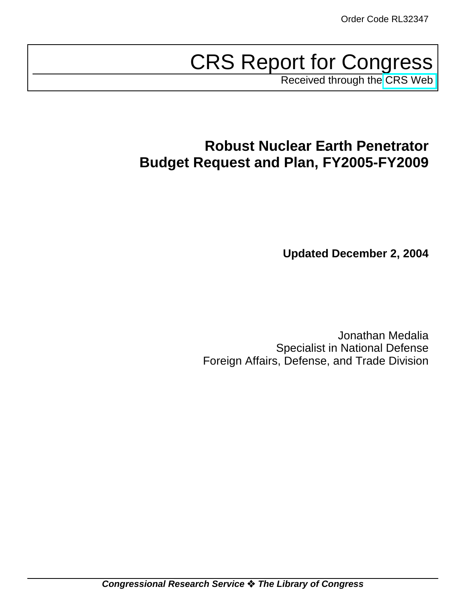# CRS Report for Congress

Received through the [CRS Web](http://www.fas.org/spp/starwars/crs/index.html)

# **Robust Nuclear Earth Penetrator Budget Request and Plan, FY2005-FY2009**

**Updated December 2, 2004**

Jonathan Medalia Specialist in National Defense Foreign Affairs, Defense, and Trade Division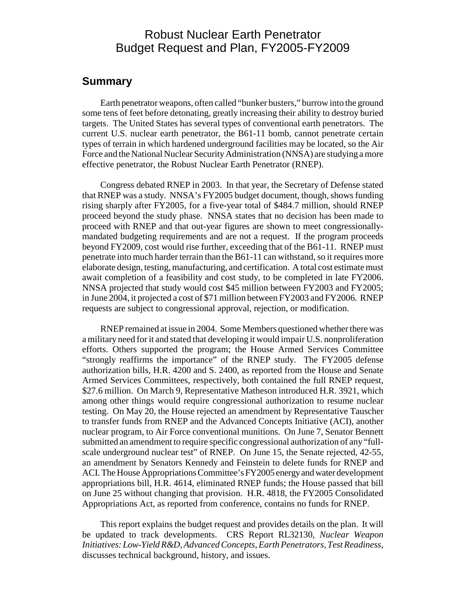## Robust Nuclear Earth Penetrator Budget Request and Plan, FY2005-FY2009

#### **Summary**

Earth penetrator weapons, often called "bunker busters," burrow into the ground some tens of feet before detonating, greatly increasing their ability to destroy buried targets. The United States has several types of conventional earth penetrators. The current U.S. nuclear earth penetrator, the B61-11 bomb, cannot penetrate certain types of terrain in which hardened underground facilities may be located, so the Air Force and the National Nuclear Security Administration (NNSA) are studying a more effective penetrator, the Robust Nuclear Earth Penetrator (RNEP).

Congress debated RNEP in 2003. In that year, the Secretary of Defense stated that RNEP was a study. NNSA's FY2005 budget document, though, shows funding rising sharply after FY2005, for a five-year total of \$484.7 million, should RNEP proceed beyond the study phase. NNSA states that no decision has been made to proceed with RNEP and that out-year figures are shown to meet congressionallymandated budgeting requirements and are not a request. If the program proceeds beyond FY2009, cost would rise further, exceeding that of the B61-11. RNEP must penetrate into much harder terrain than the B61-11 can withstand, so it requires more elaborate design, testing, manufacturing, and certification. A total cost estimate must await completion of a feasibility and cost study, to be completed in late FY2006. NNSA projected that study would cost \$45 million between FY2003 and FY2005; in June 2004, it projected a cost of \$71 million between FY2003 and FY2006. RNEP requests are subject to congressional approval, rejection, or modification.

RNEP remained at issue in 2004. Some Members questioned whether there was a military need for it and stated that developing it would impair U.S. nonproliferation efforts. Others supported the program; the House Armed Services Committee "strongly reaffirms the importance" of the RNEP study. The FY2005 defense authorization bills, H.R. 4200 and S. 2400, as reported from the House and Senate Armed Services Committees, respectively, both contained the full RNEP request, \$27.6 million. On March 9, Representative Matheson introduced H.R. 3921, which among other things would require congressional authorization to resume nuclear testing. On May 20, the House rejected an amendment by Representative Tauscher to transfer funds from RNEP and the Advanced Concepts Initiative (ACI), another nuclear program, to Air Force conventional munitions. On June 7, Senator Bennett submitted an amendment to require specific congressional authorization of any "fullscale underground nuclear test" of RNEP. On June 15, the Senate rejected, 42-55, an amendment by Senators Kennedy and Feinstein to delete funds for RNEP and ACI. The House Appropriations Committee's FY2005 energy and water development appropriations bill, H.R. 4614, eliminated RNEP funds; the House passed that bill on June 25 without changing that provision. H.R. 4818, the FY2005 Consolidated Appropriations Act, as reported from conference, contains no funds for RNEP.

This report explains the budget request and provides details on the plan. It will be updated to track developments. CRS Report RL32130, *Nuclear Weapon Initiatives: Low-Yield R&D, Advanced Concepts, Earth Penetrators, Test Readiness,* discusses technical background, history, and issues.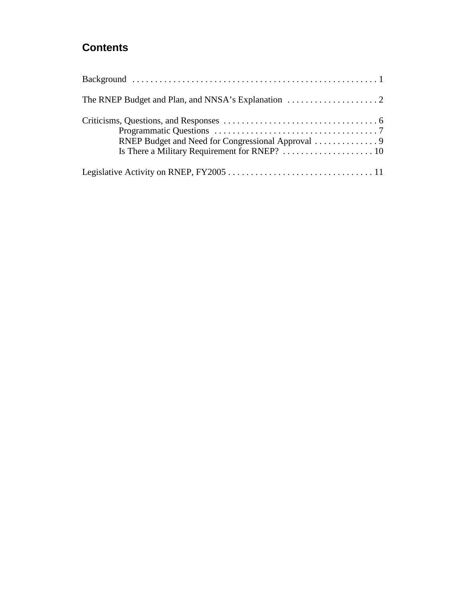## **Contents**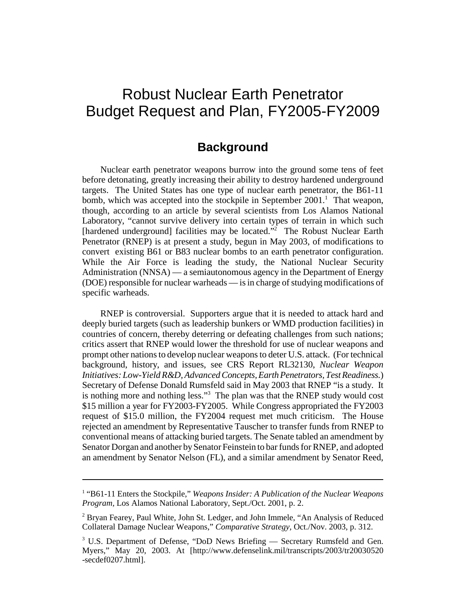## Robust Nuclear Earth Penetrator Budget Request and Plan, FY2005-FY2009

#### **Background**

Nuclear earth penetrator weapons burrow into the ground some tens of feet before detonating, greatly increasing their ability to destroy hardened underground targets. The United States has one type of nuclear earth penetrator, the B61-11 bomb, which was accepted into the stockpile in September 2001.<sup>1</sup> That weapon, though, according to an article by several scientists from Los Alamos National Laboratory, "cannot survive delivery into certain types of terrain in which such [hardened underground] facilities may be located."<sup>2</sup> The Robust Nuclear Earth Penetrator (RNEP) is at present a study, begun in May 2003, of modifications to convert existing B61 or B83 nuclear bombs to an earth penetrator configuration. While the Air Force is leading the study, the National Nuclear Security Administration (NNSA) — a semiautonomous agency in the Department of Energy (DOE) responsible for nuclear warheads — is in charge of studying modifications of specific warheads.

RNEP is controversial. Supporters argue that it is needed to attack hard and deeply buried targets (such as leadership bunkers or WMD production facilities) in countries of concern, thereby deterring or defeating challenges from such nations; critics assert that RNEP would lower the threshold for use of nuclear weapons and prompt other nations to develop nuclear weapons to deter U.S. attack. (For technical background, history, and issues, see CRS Report RL32130, *Nuclear Weapon Initiatives: Low-Yield R&D, Advanced Concepts, Earth Penetrators, Test Readiness.*) Secretary of Defense Donald Rumsfeld said in May 2003 that RNEP "is a study. It is nothing more and nothing less."<sup>3</sup> The plan was that the RNEP study would cost \$15 million a year for FY2003-FY2005. While Congress appropriated the FY2003 request of \$15.0 million, the FY2004 request met much criticism. The House rejected an amendment by Representative Tauscher to transfer funds from RNEP to conventional means of attacking buried targets. The Senate tabled an amendment by Senator Dorgan and another by Senator Feinstein to bar funds for RNEP, and adopted an amendment by Senator Nelson (FL), and a similar amendment by Senator Reed,

<sup>&</sup>lt;sup>1</sup> "B61-11 Enters the Stockpile," *Weapons Insider: A Publication of the Nuclear Weapons Program,* Los Alamos National Laboratory, Sept./Oct. 2001, p. 2.

<sup>&</sup>lt;sup>2</sup> Bryan Fearey, Paul White, John St. Ledger, and John Immele, "An Analysis of Reduced Collateral Damage Nuclear Weapons," *Comparative Strategy,* Oct./Nov. 2003, p. 312.

<sup>&</sup>lt;sup>3</sup> U.S. Department of Defense, "DoD News Briefing — Secretary Rumsfeld and Gen. Myers," May 20, 2003. At [http://www.defenselink.mil/transcripts/2003/tr20030520 -secdef0207.html].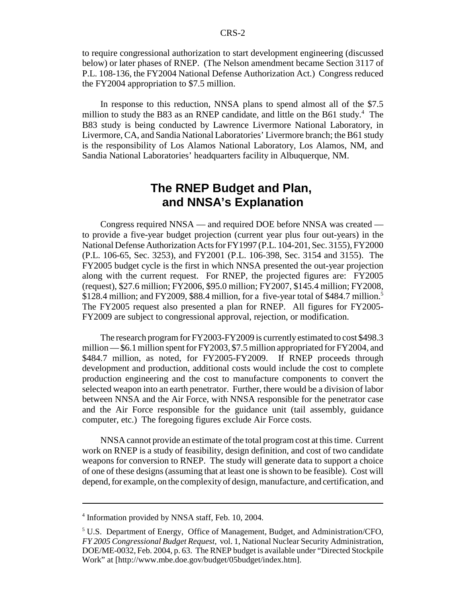to require congressional authorization to start development engineering (discussed below) or later phases of RNEP. (The Nelson amendment became Section 3117 of P.L. 108-136, the FY2004 National Defense Authorization Act.) Congress reduced the FY2004 appropriation to \$7.5 million.

In response to this reduction, NNSA plans to spend almost all of the \$7.5 million to study the B83 as an RNEP candidate, and little on the B61 study.<sup>4</sup> The B83 study is being conducted by Lawrence Livermore National Laboratory, in Livermore, CA, and Sandia National Laboratories' Livermore branch; the B61 study is the responsibility of Los Alamos National Laboratory, Los Alamos, NM, and Sandia National Laboratories' headquarters facility in Albuquerque, NM.

## **The RNEP Budget and Plan, and NNSA's Explanation**

Congress required NNSA — and required DOE before NNSA was created to provide a five-year budget projection (current year plus four out-years) in the National Defense Authorization Acts for FY1997 (P.L. 104-201, Sec. 3155), FY2000 (P.L. 106-65, Sec. 3253), and FY2001 (P.L. 106-398, Sec. 3154 and 3155). The FY2005 budget cycle is the first in which NNSA presented the out-year projection along with the current request. For RNEP, the projected figures are: FY2005 (request), \$27.6 million; FY2006, \$95.0 million; FY2007, \$145.4 million; FY2008, \$128.4 million; and FY2009, \$88.4 million, for a five-year total of \$484.7 million.<sup>5</sup> The FY2005 request also presented a plan for RNEP. All figures for FY2005- FY2009 are subject to congressional approval, rejection, or modification.

The research program for FY2003-FY2009 is currently estimated to cost \$498.3 million — \$6.1 million spent for FY2003, \$7.5 million appropriated for FY2004, and \$484.7 million, as noted, for FY2005-FY2009. If RNEP proceeds through development and production, additional costs would include the cost to complete production engineering and the cost to manufacture components to convert the selected weapon into an earth penetrator. Further, there would be a division of labor between NNSA and the Air Force, with NNSA responsible for the penetrator case and the Air Force responsible for the guidance unit (tail assembly, guidance computer, etc.) The foregoing figures exclude Air Force costs.

NNSA cannot provide an estimate of the total program cost at this time. Current work on RNEP is a study of feasibility, design definition, and cost of two candidate weapons for conversion to RNEP. The study will generate data to support a choice of one of these designs (assuming that at least one is shown to be feasible). Cost will depend, for example, on the complexity of design, manufacture, and certification, and

<sup>4</sup> Information provided by NNSA staff, Feb. 10, 2004.

<sup>&</sup>lt;sup>5</sup> U.S. Department of Energy, Office of Management, Budget, and Administration/CFO, *FY 2005 Congressional Budget Request,* vol. 1, National Nuclear Security Administration, DOE/ME-0032, Feb. 2004, p. 63. The RNEP budget is available under "Directed Stockpile Work" at [http://www.mbe.doe.gov/budget/05budget/index.htm].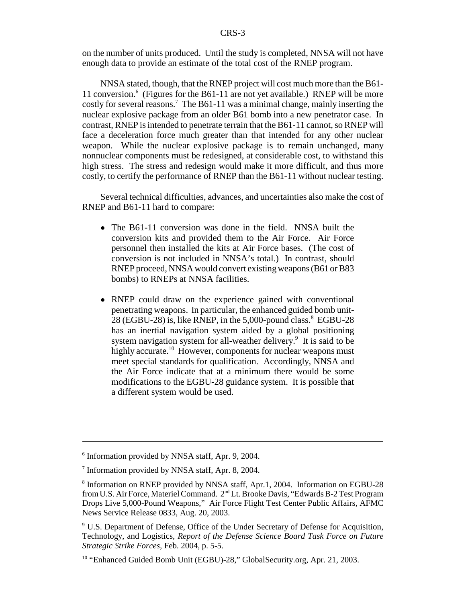on the number of units produced. Until the study is completed, NNSA will not have enough data to provide an estimate of the total cost of the RNEP program.

NNSA stated, though, that the RNEP project will cost much more than the B61- 11 conversion.6 (Figures for the B61-11 are not yet available.) RNEP will be more costly for several reasons.<sup>7</sup> The B61-11 was a minimal change, mainly inserting the nuclear explosive package from an older B61 bomb into a new penetrator case. In contrast, RNEP is intended to penetrate terrain that the B61-11 cannot, so RNEP will face a deceleration force much greater than that intended for any other nuclear weapon. While the nuclear explosive package is to remain unchanged, many nonnuclear components must be redesigned, at considerable cost, to withstand this high stress. The stress and redesign would make it more difficult, and thus more costly, to certify the performance of RNEP than the B61-11 without nuclear testing.

Several technical difficulties, advances, and uncertainties also make the cost of RNEP and B61-11 hard to compare:

- The B61-11 conversion was done in the field. NNSA built the conversion kits and provided them to the Air Force. Air Force personnel then installed the kits at Air Force bases. (The cost of conversion is not included in NNSA's total.) In contrast, should RNEP proceed, NNSA would convert existing weapons (B61 or B83 bombs) to RNEPs at NNSA facilities.
- RNEP could draw on the experience gained with conventional penetrating weapons. In particular, the enhanced guided bomb unit-28 (EGBU-28) is, like RNEP, in the 5,000-pound class. $8\text{ EGBU-28}$ has an inertial navigation system aided by a global positioning system navigation system for all-weather delivery.<sup>9</sup> It is said to be highly accurate.<sup>10</sup> However, components for nuclear weapons must meet special standards for qualification. Accordingly, NNSA and the Air Force indicate that at a minimum there would be some modifications to the EGBU-28 guidance system. It is possible that a different system would be used.

<sup>6</sup> Information provided by NNSA staff, Apr. 9, 2004.

<sup>7</sup> Information provided by NNSA staff, Apr. 8, 2004.

<sup>8</sup> Information on RNEP provided by NNSA staff, Apr.1, 2004. Information on EGBU-28 from U.S. Air Force, Materiel Command. 2nd Lt. Brooke Davis, "Edwards B-2 Test Program Drops Live 5,000-Pound Weapons," Air Force Flight Test Center Public Affairs, AFMC News Service Release 0833, Aug. 20, 2003.

<sup>&</sup>lt;sup>9</sup> U.S. Department of Defense, Office of the Under Secretary of Defense for Acquisition, Technology, and Logistics, *Report of the Defense Science Board Task Force on Future Strategic Strike Forces,* Feb. 2004, p. 5-5.

<sup>&</sup>lt;sup>10</sup> "Enhanced Guided Bomb Unit (EGBU)-28," GlobalSecurity.org, Apr. 21, 2003.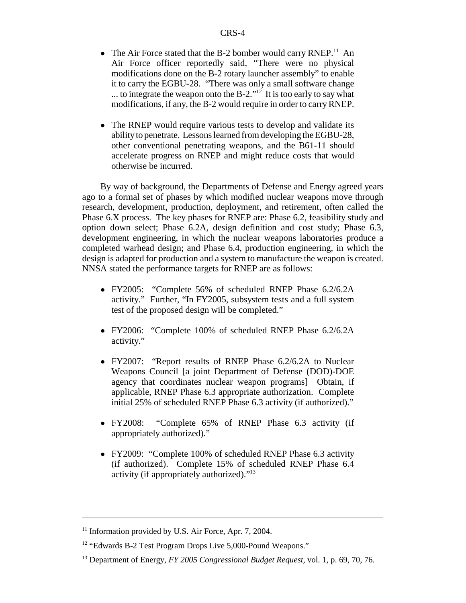- The Air Force stated that the B-2 bomber would carry RNEP.<sup>11</sup> An Air Force officer reportedly said, "There were no physical modifications done on the B-2 rotary launcher assembly" to enable it to carry the EGBU-28. "There was only a small software change ... to integrate the weapon onto the B-2.<sup>"12</sup> It is too early to say what modifications, if any, the B-2 would require in order to carry RNEP.
- The RNEP would require various tests to develop and validate its ability to penetrate. Lessons learned from developing the EGBU-28, other conventional penetrating weapons, and the B61-11 should accelerate progress on RNEP and might reduce costs that would otherwise be incurred.

By way of background, the Departments of Defense and Energy agreed years ago to a formal set of phases by which modified nuclear weapons move through research, development, production, deployment, and retirement, often called the Phase 6.X process. The key phases for RNEP are: Phase 6.2, feasibility study and option down select; Phase 6.2A, design definition and cost study; Phase 6.3, development engineering, in which the nuclear weapons laboratories produce a completed warhead design; and Phase 6.4, production engineering, in which the design is adapted for production and a system to manufacture the weapon is created. NNSA stated the performance targets for RNEP are as follows:

- ! FY2005: "Complete 56% of scheduled RNEP Phase 6.2/6.2A activity." Further, "In FY2005, subsystem tests and a full system test of the proposed design will be completed."
- ! FY2006: "Complete 100% of scheduled RNEP Phase 6.2/6.2A activity."
- FY2007: "Report results of RNEP Phase 6.2/6.2A to Nuclear Weapons Council [a joint Department of Defense (DOD)-DOE agency that coordinates nuclear weapon programs] Obtain, if applicable, RNEP Phase 6.3 appropriate authorization. Complete initial 25% of scheduled RNEP Phase 6.3 activity (if authorized)."
- ! FY2008: "Complete 65% of RNEP Phase 6.3 activity (if appropriately authorized)."
- ! FY2009: "Complete 100% of scheduled RNEP Phase 6.3 activity (if authorized). Complete 15% of scheduled RNEP Phase 6.4 activity (if appropriately authorized)."13

 $11$  Information provided by U.S. Air Force, Apr. 7, 2004.

<sup>&</sup>lt;sup>12</sup> "Edwards B-2 Test Program Drops Live 5,000-Pound Weapons."

<sup>13</sup> Department of Energy, *FY 2005 Congressional Budget Request,* vol. 1, p. 69, 70, 76.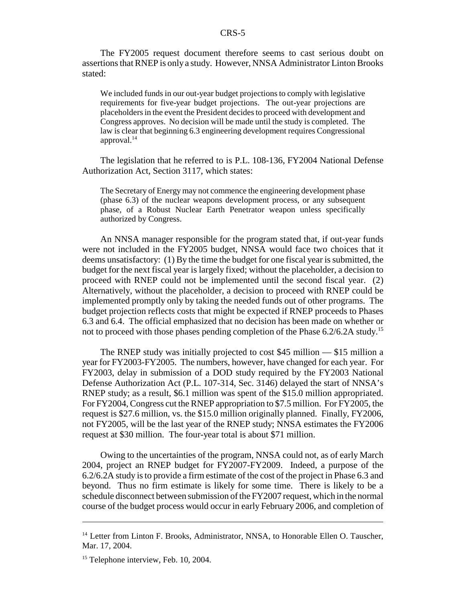The FY2005 request document therefore seems to cast serious doubt on assertions that RNEP is only a study. However, NNSA Administrator Linton Brooks stated:

We included funds in our out-year budget projections to comply with legislative requirements for five-year budget projections. The out-year projections are placeholders in the event the President decides to proceed with development and Congress approves. No decision will be made until the study is completed. The law is clear that beginning 6.3 engineering development requires Congressional approval. $^{14}$ 

The legislation that he referred to is P.L. 108-136, FY2004 National Defense Authorization Act, Section 3117, which states:

The Secretary of Energy may not commence the engineering development phase (phase 6.3) of the nuclear weapons development process, or any subsequent phase, of a Robust Nuclear Earth Penetrator weapon unless specifically authorized by Congress.

An NNSA manager responsible for the program stated that, if out-year funds were not included in the FY2005 budget, NNSA would face two choices that it deems unsatisfactory: (1) By the time the budget for one fiscal year is submitted, the budget for the next fiscal year is largely fixed; without the placeholder, a decision to proceed with RNEP could not be implemented until the second fiscal year. (2) Alternatively, without the placeholder, a decision to proceed with RNEP could be implemented promptly only by taking the needed funds out of other programs. The budget projection reflects costs that might be expected if RNEP proceeds to Phases 6.3 and 6.4. The official emphasized that no decision has been made on whether or not to proceed with those phases pending completion of the Phase  $6.2/6.2A$  study.<sup>15</sup>

The RNEP study was initially projected to cost \$45 million — \$15 million a year for FY2003-FY2005. The numbers, however, have changed for each year. For FY2003, delay in submission of a DOD study required by the FY2003 National Defense Authorization Act (P.L. 107-314, Sec. 3146) delayed the start of NNSA's RNEP study; as a result, \$6.1 million was spent of the \$15.0 million appropriated. For FY2004, Congress cut the RNEP appropriation to \$7.5 million. For FY2005, the request is \$27.6 million, vs. the \$15.0 million originally planned. Finally, FY2006, not FY2005, will be the last year of the RNEP study; NNSA estimates the FY2006 request at \$30 million. The four-year total is about \$71 million.

Owing to the uncertainties of the program, NNSA could not, as of early March 2004, project an RNEP budget for FY2007-FY2009. Indeed, a purpose of the 6.2/6.2A study is to provide a firm estimate of the cost of the project in Phase 6.3 and beyond. Thus no firm estimate is likely for some time. There is likely to be a schedule disconnect between submission of the FY2007 request, which in the normal course of the budget process would occur in early February 2006, and completion of

<sup>&</sup>lt;sup>14</sup> Letter from Linton F. Brooks, Administrator, NNSA, to Honorable Ellen O. Tauscher, Mar. 17, 2004.

<sup>&</sup>lt;sup>15</sup> Telephone interview, Feb. 10, 2004.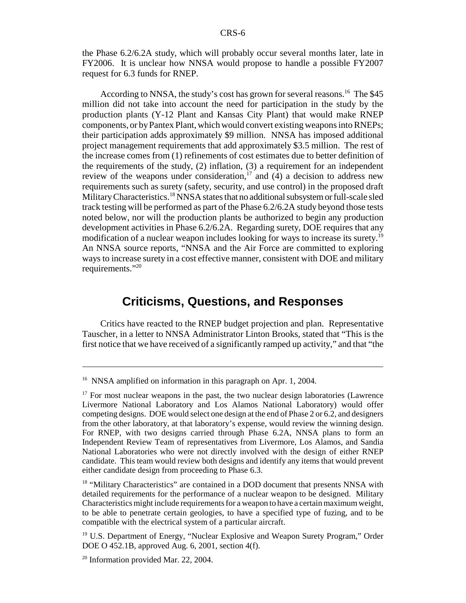the Phase 6.2/6.2A study, which will probably occur several months later, late in FY2006. It is unclear how NNSA would propose to handle a possible FY2007 request for 6.3 funds for RNEP.

According to NNSA, the study's cost has grown for several reasons.<sup>16</sup> The \$45 million did not take into account the need for participation in the study by the production plants (Y-12 Plant and Kansas City Plant) that would make RNEP components, or by Pantex Plant, which would convert existing weapons into RNEPs; their participation adds approximately \$9 million. NNSA has imposed additional project management requirements that add approximately \$3.5 million. The rest of the increase comes from (1) refinements of cost estimates due to better definition of the requirements of the study, (2) inflation, (3) a requirement for an independent review of the weapons under consideration,<sup>17</sup> and  $(4)$  a decision to address new requirements such as surety (safety, security, and use control) in the proposed draft Military Characteristics.<sup>18</sup> NNSA states that no additional subsystem or full-scale sled track testing will be performed as part of the Phase 6.2/6.2A study beyond those tests noted below, nor will the production plants be authorized to begin any production development activities in Phase 6.2/6.2A. Regarding surety, DOE requires that any modification of a nuclear weapon includes looking for ways to increase its surety.<sup>19</sup> An NNSA source reports, "NNSA and the Air Force are committed to exploring ways to increase surety in a cost effective manner, consistent with DOE and military requirements."<sup>20</sup>

### **Criticisms, Questions, and Responses**

Critics have reacted to the RNEP budget projection and plan. Representative Tauscher, in a letter to NNSA Administrator Linton Brooks, stated that "This is the first notice that we have received of a significantly ramped up activity," and that "the

<sup>&</sup>lt;sup>16</sup> NNSA amplified on information in this paragraph on Apr. 1, 2004.

 $17$  For most nuclear weapons in the past, the two nuclear design laboratories (Lawrence Livermore National Laboratory and Los Alamos National Laboratory) would offer competing designs. DOE would select one design at the end of Phase 2 or 6.2, and designers from the other laboratory, at that laboratory's expense, would review the winning design. For RNEP, with two designs carried through Phase 6.2A, NNSA plans to form an Independent Review Team of representatives from Livermore, Los Alamos, and Sandia National Laboratories who were not directly involved with the design of either RNEP candidate. This team would review both designs and identify any items that would prevent either candidate design from proceeding to Phase 6.3.

<sup>&</sup>lt;sup>18</sup> "Military Characteristics" are contained in a DOD document that presents NNSA with detailed requirements for the performance of a nuclear weapon to be designed. Military Characteristics might include requirements for a weapon to have a certain maximum weight, to be able to penetrate certain geologies, to have a specified type of fuzing, and to be compatible with the electrical system of a particular aircraft.

<sup>&</sup>lt;sup>19</sup> U.S. Department of Energy, "Nuclear Explosive and Weapon Surety Program," Order DOE O 452.1B, approved Aug. 6, 2001, section 4(f).

 $20$  Information provided Mar. 22, 2004.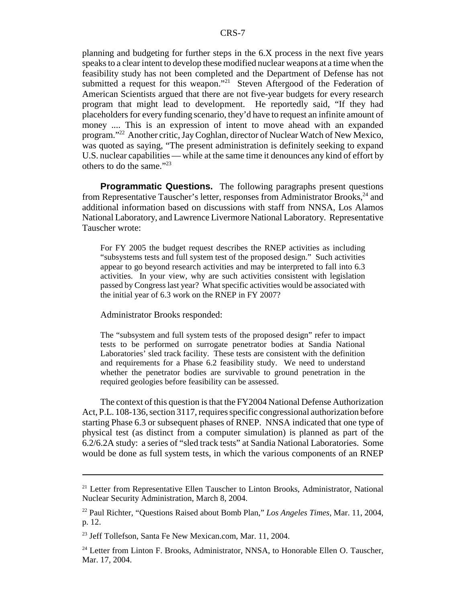planning and budgeting for further steps in the 6.X process in the next five years speaks to a clear intent to develop these modified nuclear weapons at a time when the feasibility study has not been completed and the Department of Defense has not submitted a request for this weapon."<sup>21</sup> Steven Aftergood of the Federation of American Scientists argued that there are not five-year budgets for every research program that might lead to development. He reportedly said, "If they had placeholders for every funding scenario, they'd have to request an infinite amount of money .... This is an expression of intent to move ahead with an expanded program."22 Another critic, Jay Coghlan, director of Nuclear Watch of New Mexico, was quoted as saying, "The present administration is definitely seeking to expand U.S. nuclear capabilities — while at the same time it denounces any kind of effort by others to do the same."23

**Programmatic Questions.** The following paragraphs present questions from Representative Tauscher's letter, responses from Administrator Brooks,<sup>24</sup> and additional information based on discussions with staff from NNSA, Los Alamos National Laboratory, and Lawrence Livermore National Laboratory. Representative Tauscher wrote:

For FY 2005 the budget request describes the RNEP activities as including "subsystems tests and full system test of the proposed design." Such activities appear to go beyond research activities and may be interpreted to fall into 6.3 activities. In your view, why are such activities consistent with legislation passed by Congress last year? What specific activities would be associated with the initial year of 6.3 work on the RNEP in FY 2007?

Administrator Brooks responded:

The "subsystem and full system tests of the proposed design" refer to impact tests to be performed on surrogate penetrator bodies at Sandia National Laboratories' sled track facility. These tests are consistent with the definition and requirements for a Phase 6.2 feasibility study. We need to understand whether the penetrator bodies are survivable to ground penetration in the required geologies before feasibility can be assessed.

The context of this question is that the FY2004 National Defense Authorization Act, P.L. 108-136, section 3117, requires specific congressional authorization before starting Phase 6.3 or subsequent phases of RNEP. NNSA indicated that one type of physical test (as distinct from a computer simulation) is planned as part of the 6.2/6.2A study: a series of "sled track tests" at Sandia National Laboratories. Some would be done as full system tests, in which the various components of an RNEP

<sup>&</sup>lt;sup>21</sup> Letter from Representative Ellen Tauscher to Linton Brooks, Administrator, National Nuclear Security Administration, March 8, 2004.

<sup>22</sup> Paul Richter, "Questions Raised about Bomb Plan," *Los Angeles Times,* Mar. 11, 2004, p. 12.

<sup>&</sup>lt;sup>23</sup> Jeff Tollefson, Santa Fe New Mexican.com, Mar. 11, 2004.

<sup>&</sup>lt;sup>24</sup> Letter from Linton F. Brooks, Administrator, NNSA, to Honorable Ellen O. Tauscher, Mar. 17, 2004.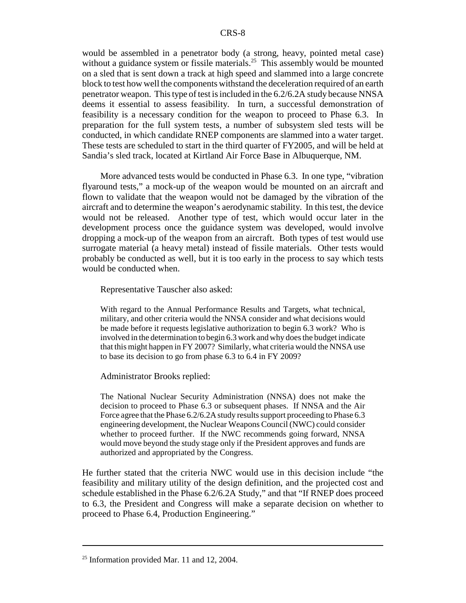would be assembled in a penetrator body (a strong, heavy, pointed metal case) without a guidance system or fissile materials.<sup>25</sup> This assembly would be mounted on a sled that is sent down a track at high speed and slammed into a large concrete block to test how well the components withstand the deceleration required of an earth penetrator weapon. This type of test is included in the 6.2/6.2A study because NNSA deems it essential to assess feasibility. In turn, a successful demonstration of feasibility is a necessary condition for the weapon to proceed to Phase 6.3. In preparation for the full system tests, a number of subsystem sled tests will be conducted, in which candidate RNEP components are slammed into a water target. These tests are scheduled to start in the third quarter of FY2005, and will be held at Sandia's sled track, located at Kirtland Air Force Base in Albuquerque, NM.

More advanced tests would be conducted in Phase 6.3. In one type, "vibration flyaround tests," a mock-up of the weapon would be mounted on an aircraft and flown to validate that the weapon would not be damaged by the vibration of the aircraft and to determine the weapon's aerodynamic stability. In this test, the device would not be released. Another type of test, which would occur later in the development process once the guidance system was developed, would involve dropping a mock-up of the weapon from an aircraft. Both types of test would use surrogate material (a heavy metal) instead of fissile materials. Other tests would probably be conducted as well, but it is too early in the process to say which tests would be conducted when.

Representative Tauscher also asked:

With regard to the Annual Performance Results and Targets, what technical, military, and other criteria would the NNSA consider and what decisions would be made before it requests legislative authorization to begin 6.3 work? Who is involved in the determination to begin 6.3 work and why does the budget indicate that this might happen in FY 2007? Similarly, what criteria would the NNSA use to base its decision to go from phase 6.3 to 6.4 in FY 2009?

Administrator Brooks replied:

The National Nuclear Security Administration (NNSA) does not make the decision to proceed to Phase 6.3 or subsequent phases. If NNSA and the Air Force agree that the Phase 6.2/6.2A study results support proceeding to Phase 6.3 engineering development, the Nuclear Weapons Council (NWC) could consider whether to proceed further. If the NWC recommends going forward, NNSA would move beyond the study stage only if the President approves and funds are authorized and appropriated by the Congress.

He further stated that the criteria NWC would use in this decision include "the feasibility and military utility of the design definition, and the projected cost and schedule established in the Phase 6.2/6.2A Study," and that "If RNEP does proceed to 6.3, the President and Congress will make a separate decision on whether to proceed to Phase 6.4, Production Engineering."

 $25$  Information provided Mar. 11 and 12, 2004.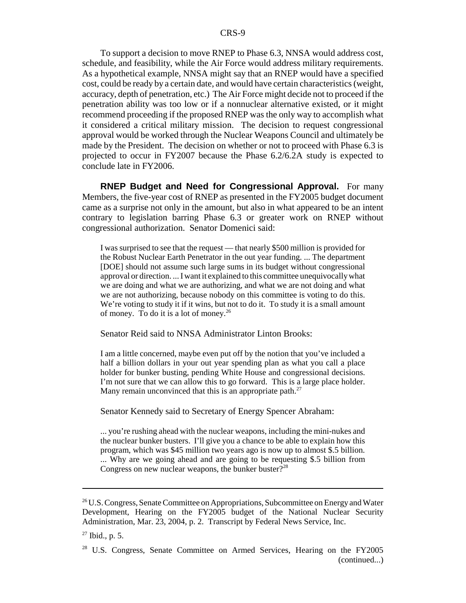To support a decision to move RNEP to Phase 6.3, NNSA would address cost, schedule, and feasibility, while the Air Force would address military requirements. As a hypothetical example, NNSA might say that an RNEP would have a specified cost, could be ready by a certain date, and would have certain characteristics (weight, accuracy, depth of penetration, etc.) The Air Force might decide not to proceed if the penetration ability was too low or if a nonnuclear alternative existed, or it might recommend proceeding if the proposed RNEP was the only way to accomplish what it considered a critical military mission. The decision to request congressional approval would be worked through the Nuclear Weapons Council and ultimately be made by the President. The decision on whether or not to proceed with Phase 6.3 is projected to occur in FY2007 because the Phase 6.2/6.2A study is expected to conclude late in FY2006.

**RNEP Budget and Need for Congressional Approval.** For many Members, the five-year cost of RNEP as presented in the FY2005 budget document came as a surprise not only in the amount, but also in what appeared to be an intent contrary to legislation barring Phase 6.3 or greater work on RNEP without congressional authorization. Senator Domenici said:

I was surprised to see that the request — that nearly \$500 million is provided for the Robust Nuclear Earth Penetrator in the out year funding. ... The department [DOE] should not assume such large sums in its budget without congressional approval or direction. ... I want it explained to this committee unequivocally what we are doing and what we are authorizing, and what we are not doing and what we are not authorizing, because nobody on this committee is voting to do this. We're voting to study it if it wins, but not to do it. To study it is a small amount of money. To do it is a lot of money.26

Senator Reid said to NNSA Administrator Linton Brooks:

I am a little concerned, maybe even put off by the notion that you've included a half a billion dollars in your out year spending plan as what you call a place holder for bunker busting, pending White House and congressional decisions. I'm not sure that we can allow this to go forward. This is a large place holder. Many remain unconvinced that this is an appropriate path. $27$ 

Senator Kennedy said to Secretary of Energy Spencer Abraham:

... you're rushing ahead with the nuclear weapons, including the mini-nukes and the nuclear bunker busters. I'll give you a chance to be able to explain how this program, which was \$45 million two years ago is now up to almost \$.5 billion. ... Why are we going ahead and are going to be requesting \$.5 billion from Congress on new nuclear weapons, the bunker buster $?^{28}$ 

 $26$  U.S. Congress, Senate Committee on Appropriations, Subcommittee on Energy and Water Development, Hearing on the FY2005 budget of the National Nuclear Security Administration, Mar. 23, 2004, p. 2. Transcript by Federal News Service, Inc.

 $27$  Ibid., p. 5.

<sup>&</sup>lt;sup>28</sup> U.S. Congress, Senate Committee on Armed Services, Hearing on the FY2005 (continued...)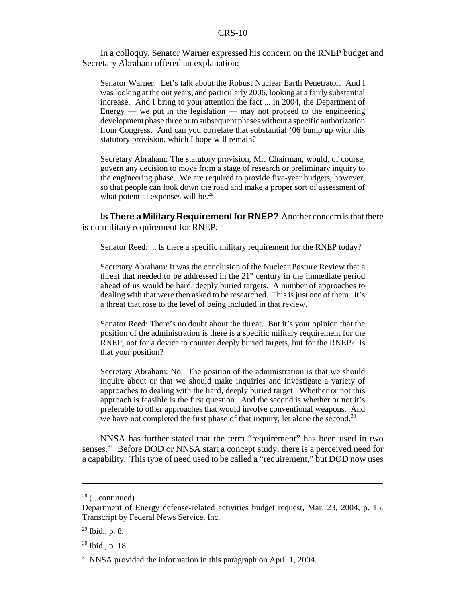#### CRS-10

In a colloquy, Senator Warner expressed his concern on the RNEP budget and Secretary Abraham offered an explanation:

Senator Warner: Let's talk about the Robust Nuclear Earth Penetrator. And I was looking at the out years, and particularly 2006, looking at a fairly substantial increase. And I bring to your attention the fact ... in 2004, the Department of Energy — we put in the legislation — may not proceed to the engineering development phase three or to subsequent phases without a specific authorization from Congress. And can you correlate that substantial '06 bump up with this statutory provision, which I hope will remain?

Secretary Abraham: The statutory provision, Mr. Chairman, would, of course, govern any decision to move from a stage of research or preliminary inquiry to the engineering phase. We are required to provide five-year budgets, however, so that people can look down the road and make a proper sort of assessment of what potential expenses will be.<sup>29</sup>

**Is There a Military Requirement for RNEP?** Another concern is that there is no military requirement for RNEP.

Senator Reed: ... Is there a specific military requirement for the RNEP today?

Secretary Abraham: It was the conclusion of the Nuclear Posture Review that a threat that needed to be addressed in the  $21<sup>st</sup>$  century in the immediate period ahead of us would be hard, deeply buried targets. A number of approaches to dealing with that were then asked to be researched. This is just one of them. It's a threat that rose to the level of being included in that review.

Senator Reed: There's no doubt about the threat. But it's your opinion that the position of the administration is there is a specific military requirement for the RNEP, not for a device to counter deeply buried targets, but for the RNEP? Is that your position?

Secretary Abraham: No. The position of the administration is that we should inquire about or that we should make inquiries and investigate a variety of approaches to dealing with the hard, deeply buried target. Whether or not this approach is feasible is the first question. And the second is whether or not it's preferable to other approaches that would involve conventional weapons. And we have not completed the first phase of that inquiry, let alone the second.<sup>30</sup>

NNSA has further stated that the term "requirement" has been used in two senses.<sup>31</sup> Before DOD or NNSA start a concept study, there is a perceived need for a capability. This type of need used to be called a "requirement," but DOD now uses

<sup>28 (...</sup>continued)

Department of Energy defense-related activities budget request, Mar. 23, 2004, p. 15. Transcript by Federal News Service, Inc.

 $29$  Ibid., p. 8.

<sup>30</sup> Ibid., p. 18.

 $31$  NNSA provided the information in this paragraph on April 1, 2004.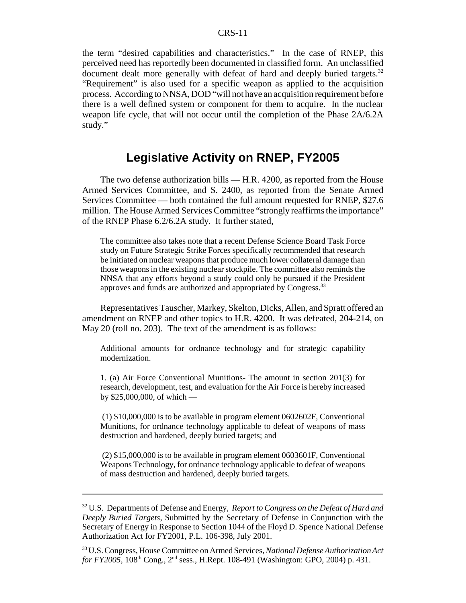the term "desired capabilities and characteristics." In the case of RNEP, this perceived need has reportedly been documented in classified form. An unclassified document dealt more generally with defeat of hard and deeply buried targets.<sup>32</sup> "Requirement" is also used for a specific weapon as applied to the acquisition process. According to NNSA, DOD "will not have an acquisition requirement before there is a well defined system or component for them to acquire. In the nuclear weapon life cycle, that will not occur until the completion of the Phase 2A/6.2A study."

### **Legislative Activity on RNEP, FY2005**

The two defense authorization bills — H.R. 4200, as reported from the House Armed Services Committee, and S. 2400, as reported from the Senate Armed Services Committee — both contained the full amount requested for RNEP, \$27.6 million. The House Armed Services Committee "strongly reaffirms the importance" of the RNEP Phase 6.2/6.2A study. It further stated,

The committee also takes note that a recent Defense Science Board Task Force study on Future Strategic Strike Forces specifically recommended that research be initiated on nuclear weapons that produce much lower collateral damage than those weapons in the existing nuclear stockpile. The committee also reminds the NNSA that any efforts beyond a study could only be pursued if the President approves and funds are authorized and appropriated by Congress.<sup>33</sup>

Representatives Tauscher, Markey, Skelton, Dicks, Allen, and Spratt offered an amendment on RNEP and other topics to H.R. 4200. It was defeated, 204-214, on May 20 (roll no. 203). The text of the amendment is as follows:

Additional amounts for ordnance technology and for strategic capability modernization.

1. (a) Air Force Conventional Munitions- The amount in section 201(3) for research, development, test, and evaluation for the Air Force is hereby increased by \$25,000,000, of which —

 (1) \$10,000,000 is to be available in program element 0602602F, Conventional Munitions, for ordnance technology applicable to defeat of weapons of mass destruction and hardened, deeply buried targets; and

 (2) \$15,000,000 is to be available in program element 0603601F, Conventional Weapons Technology, for ordnance technology applicable to defeat of weapons of mass destruction and hardened, deeply buried targets.

<sup>32</sup> U.S. Departments of Defense and Energy, *Report to Congress on the Defeat of Hard and Deeply Buried Targets,* Submitted by the Secretary of Defense in Conjunction with the Secretary of Energy in Response to Section 1044 of the Floyd D. Spence National Defense Authorization Act for FY2001, P.L. 106-398*,* July 2001.

<sup>33</sup> U.S. Congress, House Committee on Armed Services, *National Defense Authorization Act for FY2005*, 108<sup>th</sup> Cong., 2<sup>nd</sup> sess., H.Rept. 108-491 (Washington: GPO, 2004) p. 431.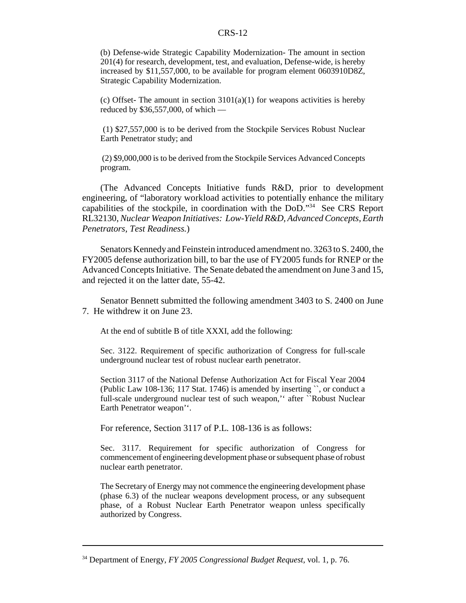#### CRS-12

(b) Defense-wide Strategic Capability Modernization- The amount in section 201(4) for research, development, test, and evaluation, Defense-wide, is hereby increased by \$11,557,000, to be available for program element 0603910D8Z, Strategic Capability Modernization.

(c) Offset- The amount in section  $3101(a)(1)$  for weapons activities is hereby reduced by \$36,557,000, of which —

 (1) \$27,557,000 is to be derived from the Stockpile Services Robust Nuclear Earth Penetrator study; and

 (2) \$9,000,000 is to be derived from the Stockpile Services Advanced Concepts program.

(The Advanced Concepts Initiative funds R&D, prior to development engineering, of "laboratory workload activities to potentially enhance the military capabilities of the stockpile, in coordination with the DoD."34 See CRS Report RL32130, *Nuclear Weapon Initiatives: Low-Yield R&D, Advanced Concepts, Earth Penetrators, Test Readiness.*)

Senators Kennedy and Feinstein introduced amendment no. 3263 to S. 2400, the FY2005 defense authorization bill, to bar the use of FY2005 funds for RNEP or the Advanced Concepts Initiative. The Senate debated the amendment on June 3 and 15, and rejected it on the latter date, 55-42.

Senator Bennett submitted the following amendment 3403 to S. 2400 on June 7. He withdrew it on June 23.

At the end of subtitle B of title XXXI, add the following:

Sec. 3122. Requirement of specific authorization of Congress for full-scale underground nuclear test of robust nuclear earth penetrator.

Section 3117 of the National Defense Authorization Act for Fiscal Year 2004 (Public Law 108-136; 117 Stat. 1746) is amended by inserting ``, or conduct a full-scale underground nuclear test of such weapon,'' after ``Robust Nuclear Earth Penetrator weapon''.

For reference, Section 3117 of P.L. 108-136 is as follows:

Sec. 3117. Requirement for specific authorization of Congress for commencement of engineering development phase or subsequent phase of robust nuclear earth penetrator.

The Secretary of Energy may not commence the engineering development phase (phase 6.3) of the nuclear weapons development process, or any subsequent phase, of a Robust Nuclear Earth Penetrator weapon unless specifically authorized by Congress.

<sup>34</sup> Department of Energy, *FY 2005 Congressional Budget Request,* vol. 1, p. 76.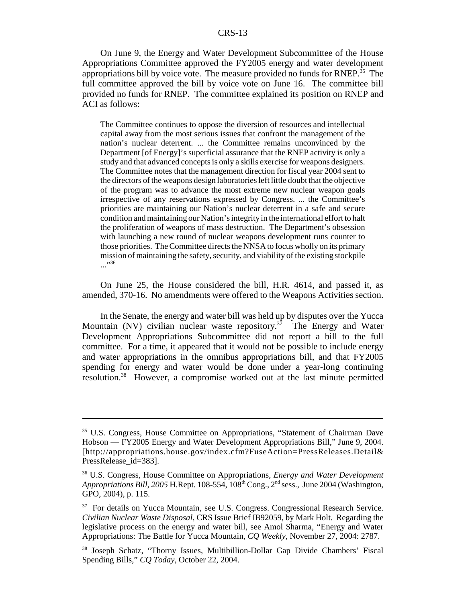#### CRS-13

On June 9, the Energy and Water Development Subcommittee of the House Appropriations Committee approved the FY2005 energy and water development appropriations bill by voice vote. The measure provided no funds for RNEP.<sup> $35$ </sup> The full committee approved the bill by voice vote on June 16. The committee bill provided no funds for RNEP. The committee explained its position on RNEP and ACI as follows:

The Committee continues to oppose the diversion of resources and intellectual capital away from the most serious issues that confront the management of the nation's nuclear deterrent. ... the Committee remains unconvinced by the Department [of Energy]'s superficial assurance that the RNEP activity is only a study and that advanced concepts is only a skills exercise for weapons designers. The Committee notes that the management direction for fiscal year 2004 sent to the directors of the weapons design laboratories left little doubt that the objective of the program was to advance the most extreme new nuclear weapon goals irrespective of any reservations expressed by Congress. ... the Committee's priorities are maintaining our Nation's nuclear deterrent in a safe and secure condition and maintaining our Nation's integrity in the international effort to halt the proliferation of weapons of mass destruction. The Department's obsession with launching a new round of nuclear weapons development runs counter to those priorities. The Committee directs the NNSA to focus wholly on its primary mission of maintaining the safety, security, and viability of the existing stockpile ..."36

On June 25, the House considered the bill, H.R. 4614, and passed it, as amended, 370-16. No amendments were offered to the Weapons Activities section.

In the Senate, the energy and water bill was held up by disputes over the Yucca Mountain (NV) civilian nuclear waste repository.<sup>37</sup> The Energy and Water Development Appropriations Subcommittee did not report a bill to the full committee. For a time, it appeared that it would not be possible to include energy and water appropriations in the omnibus appropriations bill, and that FY2005 spending for energy and water would be done under a year-long continuing resolution.38 However, a compromise worked out at the last minute permitted

<sup>35</sup> U.S. Congress, House Committee on Appropriations, "Statement of Chairman Dave Hobson — FY2005 Energy and Water Development Appropriations Bill," June 9, 2004. [http://appropriations.house.gov/index.cfm?FuseAction=PressReleases.Detail& PressRelease\_id=383].

<sup>36</sup> U.S. Congress, House Committee on Appropriations, *Energy and Water Development* Appropriations Bill, 2005 H.Rept. 108-554, 108<sup>th</sup> Cong., 2<sup>nd</sup> sess., June 2004 (Washington, GPO, 2004), p. 115.

<sup>&</sup>lt;sup>37</sup> For details on Yucca Mountain, see U.S. Congress. Congressional Research Service. *Civilian Nuclear Waste Disposal,* CRS Issue Brief IB92059, by Mark Holt. Regarding the legislative process on the energy and water bill, see Amol Sharma, "Energy and Water Appropriations: The Battle for Yucca Mountain, *CQ Weekly,* November 27, 2004: 2787.

<sup>38</sup> Joseph Schatz, "Thorny Issues, Multibillion-Dollar Gap Divide Chambers' Fiscal Spending Bills," *CQ Today,* October 22, 2004.